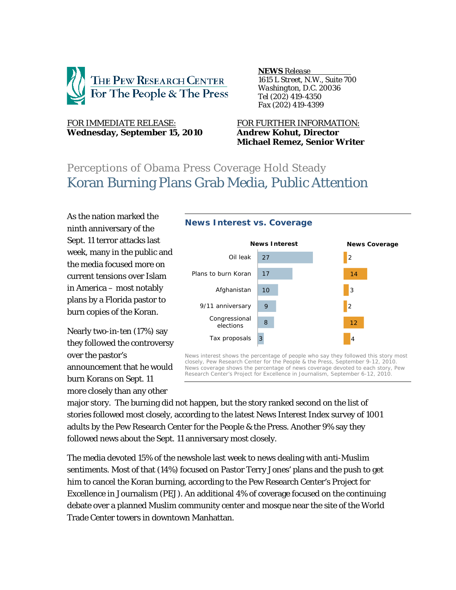

#### *NEWS Release .*

 *1615 L Street, N.W., Suite 700 Washington, D.C. 20036 Tel (202) 419-4350 Fax (202) 419-4399*

### FOR IMMEDIATE RELEASE: FOR FURTHER INFORMATION: **Wednesday, September 15, 2010 Andrew Kohut, Director**

# **Michael Remez, Senior Writer**

# Perceptions of Obama Press Coverage Hold Steady Koran Burning Plans Grab Media, Public Attention

**News Interest vs. Coverage** 

# As the nation marked the ninth anniversary of the Sept. 11 terror attacks last week, many in the public and the media focused more on current tensions over Islam in America – most notably plans by a Florida pastor to burn copies of the Koran.

Nearly two-in-ten (17%) say they followed the controversy over the pastor's announcement that he would burn Korans on Sept. 11 more closely than any other



News interest shows the percentage of people who say they followed this story most closely, Pew Research Center for the People & the Press, September 9-12, 2010. News coverage shows the percentage of news coverage devoted to each story, Pew Research Center's Project for Excellence in Journalism, September 6-12, 2010.

major story. The burning did not happen, but the story ranked second on the list of stories followed most closely, according to the latest News Interest Index survey of 1001 adults by the Pew Research Center for the People & the Press. Another 9% say they followed news about the Sept. 11 anniversary most closely.

The media devoted 15% of the newshole last week to news dealing with anti-Muslim sentiments. Most of that (14%) focused on Pastor Terry Jones' plans and the push to get him to cancel the Koran burning, according to the Pew Research Center's Project for Excellence in Journalism (PEJ). An additional 4% of coverage focused on the continuing debate over a planned Muslim community center and mosque near the site of the World Trade Center towers in downtown Manhattan.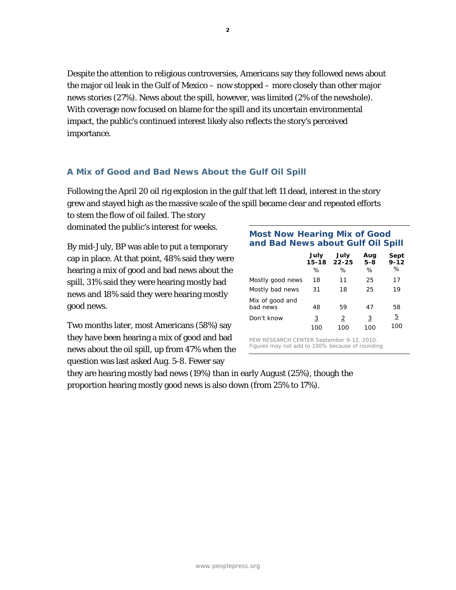Despite the attention to religious controversies, Americans say they followed news about the major oil leak in the Gulf of Mexico – now stopped – more closely than other major news stories (27%). News about the spill, however, was limited (2% of the newshole). With coverage now focused on blame for the spill and its uncertain environmental impact, the public's continued interest likely also reflects the story's perceived importance.

# **A Mix of Good and Bad News About the Gulf Oil Spill**

Following the April 20 oil rig explosion in the gulf that left 11 dead, interest in the story grew and stayed high as the massive scale of the spill became clear and repeated efforts to stem the flow of oil failed. The story

dominated the public's interest for weeks.

By mid-July, BP was able to put a temporary cap in place. At that point, 48% said they were hearing a mix of good and bad news about the spill, 31% said they were hearing mostly bad news and 18% said they were hearing mostly good news.

Two months later, most Americans (58%) say they have been hearing a mix of good and bad news about the oil spill, up from 47% when the question was last asked Aug. 5-8. Fewer say

#### **Most Now Hearing Mix of Good and Bad News about Gulf Oil Spill**

|                             | July<br>$15 - 18$ | July<br>$22 - 25$ | Aug<br>$5 - 8$ | Sept<br>$9 - 12$ |
|-----------------------------|-------------------|-------------------|----------------|------------------|
|                             | %                 | ℅                 | %              | %                |
| Mostly good news            | 18                | 11                | 25             | 17               |
| Mostly bad news             | 31                | 18                | 25             | 19               |
| Mix of good and<br>had news | 48                | 59                | 47             | 58               |
| Don't know                  | 3                 | 2                 | 3              | <u>5</u>         |
|                             | 100               | 100               | 100            | 100              |

PEW RESEARCH CENTER September 9-12, 2010. Figures may not add to 100% because of rounding.

they are hearing mostly bad news (19%) than in early August (25%), though the proportion hearing mostly good news is also down (from 25% to 17%).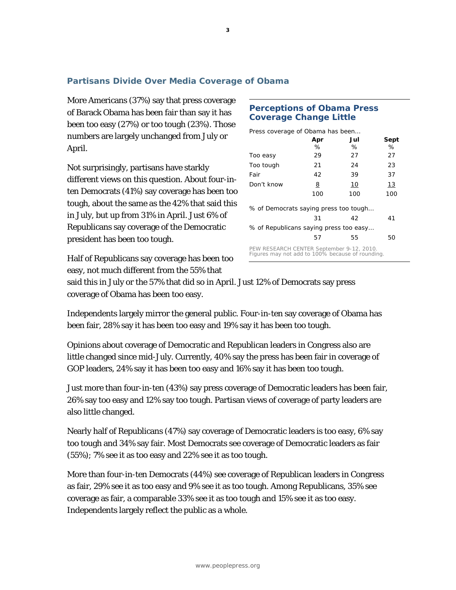# **Partisans Divide Over Media Coverage of Obama**

More Americans (37%) say that press coverage of Barack Obama has been fair than say it has been too easy (27%) or too tough (23%). Those numbers are largely unchanged from July or April.

Not surprisingly, partisans have starkly different views on this question. About four-inten Democrats (41%) say coverage has been too tough, about the same as the 42% that said this in July, but up from 31% in April. Just 6% of Republicans say coverage of the Democratic president has been too tough.

Half of Republicans say coverage has been too

easy, not much different from the 55% that

# **Perceptions of Obama Press Coverage Change Little**

| Press coverage of Obama has been                                                              |     |     |      |  |  |  |
|-----------------------------------------------------------------------------------------------|-----|-----|------|--|--|--|
|                                                                                               | Apr | Jul | Sept |  |  |  |
|                                                                                               | ℅   | ℅   | ℅    |  |  |  |
| Too easy                                                                                      | 29  | 27  | 27   |  |  |  |
| Too tough                                                                                     | 21  | 24  | 23   |  |  |  |
| Fair                                                                                          | 42  | 39  | 37   |  |  |  |
| Don't know                                                                                    | 8   | 10  | 13   |  |  |  |
|                                                                                               | 100 | 100 | 100  |  |  |  |
| % of Democrats saying press too tough                                                         |     |     |      |  |  |  |
|                                                                                               | 31  | 42  | 41   |  |  |  |
| % of Republicans saying press too easy                                                        |     |     |      |  |  |  |
|                                                                                               | 57  | 55  | 50   |  |  |  |
| PEW RESEARCH CENTER September 9-12, 2010.<br>Figures may not add to 100% because of rounding. |     |     |      |  |  |  |

said this in July or the 57% that did so in April. Just 12% of Democrats say press coverage of Obama has been too easy.

Independents largely mirror the general public. Four-in-ten say coverage of Obama has been fair, 28% say it has been too easy and 19% say it has been too tough.

Opinions about coverage of Democratic and Republican leaders in Congress also are little changed since mid-July. Currently, 40% say the press has been fair in coverage of GOP leaders, 24% say it has been too easy and 16% say it has been too tough.

Just more than four-in-ten (43%) say press coverage of Democratic leaders has been fair, 26% say too easy and 12% say too tough. Partisan views of coverage of party leaders are also little changed.

Nearly half of Republicans (47%) say coverage of Democratic leaders is too easy, 6% say too tough and 34% say fair. Most Democrats see coverage of Democratic leaders as fair (55%); 7% see it as too easy and 22% see it as too tough.

More than four-in-ten Democrats (44%) see coverage of Republican leaders in Congress as fair, 29% see it as too easy and 9% see it as too tough. Among Republicans, 35% see coverage as fair, a comparable 33% see it as too tough and 15% see it as too easy. Independents largely reflect the public as a whole.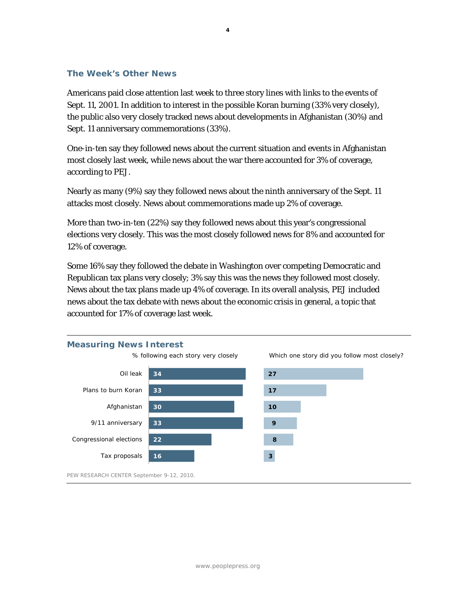#### **The Week's Other News**

Americans paid close attention last week to three story lines with links to the events of Sept. 11, 2001. In addition to interest in the possible Koran burning (33% very closely), the public also very closely tracked news about developments in Afghanistan (30%) and Sept. 11 anniversary commemorations (33%).

One-in-ten say they followed news about the current situation and events in Afghanistan most closely last week, while news about the war there accounted for 3% of coverage, according to PEJ.

Nearly as many (9%) say they followed news about the ninth anniversary of the Sept. 11 attacks most closely. News about commemorations made up 2% of coverage.

More than two-in-ten (22%) say they followed news about this year's congressional elections very closely. This was the most closely followed news for 8% and accounted for 12% of coverage.

Some 16% say they followed the debate in Washington over competing Democratic and Republican tax plans very closely; 3% say this was the news they followed most closely. News about the tax plans made up 4% of coverage. In its overall analysis, PEJ included news about the tax debate with news about the economic crisis in general, a topic that accounted for 17% of coverage last week.

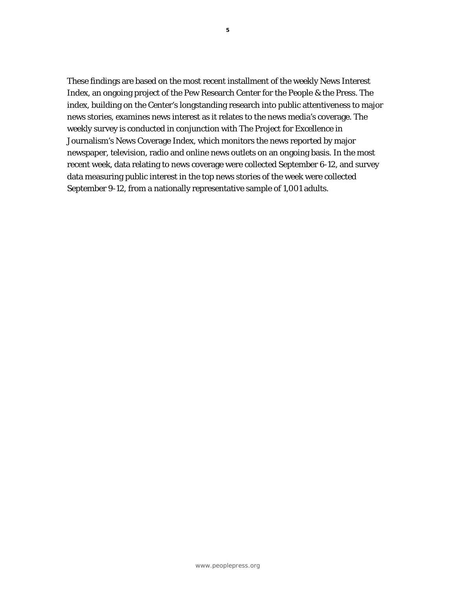These findings are based on the most recent installment of the weekly News Interest Index, an ongoing project of the Pew Research Center for the People & the Press. The index, building on the Center's longstanding research into public attentiveness to major news stories, examines news interest as it relates to the news media's coverage. The weekly survey is conducted in conjunction with The Project for Excellence in Journalism's News Coverage Index, which monitors the news reported by major newspaper, television, radio and online news outlets on an ongoing basis. In the most recent week, data relating to news coverage were collected September 6-12, and survey data measuring public interest in the top news stories of the week were collected September 9-12, from a nationally representative sample of 1,001 adults.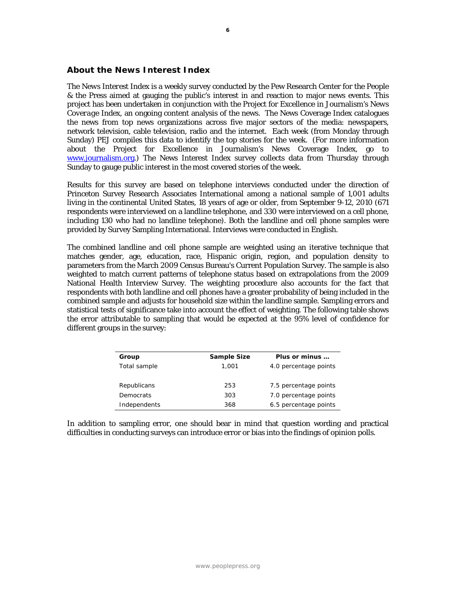#### **About the News Interest Index**

The *News Interest Index* is a weekly survey conducted by the Pew Research Center for the People & the Press aimed at gauging the public's interest in and reaction to major news events. This project has been undertaken in conjunction with the Project for Excellence in Journalism's *News Coverage Index*, an ongoing content analysis of the news. The News Coverage Index catalogues the news from top news organizations across five major sectors of the media: newspapers, network television, cable television, radio and the internet. Each week (from Monday through Sunday) PEJ compiles this data to identify the top stories for the week. (For more information about the Project for Excellence in Journalism's News Coverage Index, go to www.journalism.org.) The News Interest Index survey collects data from Thursday through Sunday to gauge public interest in the most covered stories of the week.

Results for this survey are based on telephone interviews conducted under the direction of Princeton Survey Research Associates International among a national sample of 1,001 adults living in the continental United States, 18 years of age or older, from September 9-12, 2010 (671 respondents were interviewed on a landline telephone, and 330 were interviewed on a cell phone, including 130 who had no landline telephone). Both the landline and cell phone samples were provided by Survey Sampling International. Interviews were conducted in English.

The combined landline and cell phone sample are weighted using an iterative technique that matches gender, age, education, race, Hispanic origin, region, and population density to parameters from the March 2009 Census Bureau's Current Population Survey. The sample is also weighted to match current patterns of telephone status based on extrapolations from the 2009 National Health Interview Survey. The weighting procedure also accounts for the fact that respondents with both landline and cell phones have a greater probability of being included in the combined sample and adjusts for household size within the landline sample. Sampling errors and statistical tests of significance take into account the effect of weighting. The following table shows the error attributable to sampling that would be expected at the 95% level of confidence for different groups in the survey:

| Group        | Sample Size | Plus or minus         |
|--------------|-------------|-----------------------|
| Total sample | 1,001       | 4.0 percentage points |
|              |             |                       |
| Republicans  | 253         | 7.5 percentage points |
| Democrats    | 303         | 7.0 percentage points |
| Independents | 368         | 6.5 percentage points |

In addition to sampling error, one should bear in mind that question wording and practical difficulties in conducting surveys can introduce error or bias into the findings of opinion polls.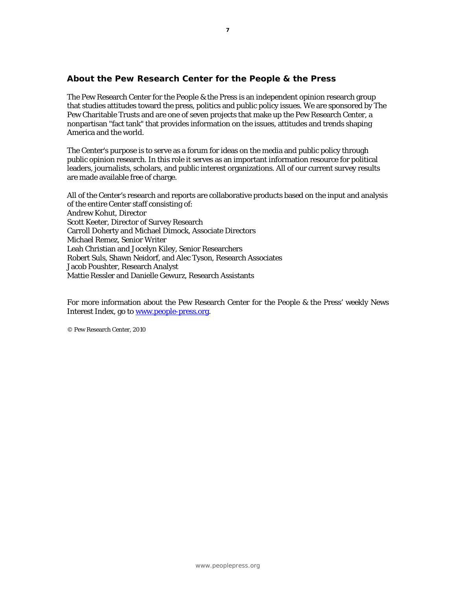#### **About the Pew Research Center for the People & the Press**

The Pew Research Center for the People & the Press is an independent opinion research group that studies attitudes toward the press, politics and public policy issues. We are sponsored by The Pew Charitable Trusts and are one of seven projects that make up the Pew Research Center, a nonpartisan "fact tank" that provides information on the issues, attitudes and trends shaping America and the world.

The Center's purpose is to serve as a forum for ideas on the media and public policy through public opinion research. In this role it serves as an important information resource for political leaders, journalists, scholars, and public interest organizations. All of our current survey results are made available free of charge.

All of the Center's research and reports are collaborative products based on the input and analysis of the entire Center staff consisting of: Andrew Kohut, Director Scott Keeter, Director of Survey Research Carroll Doherty and Michael Dimock, Associate Directors Michael Remez, Senior Writer Leah Christian and Jocelyn Kiley, Senior Researchers Robert Suls, Shawn Neidorf, and Alec Tyson, Research Associates Jacob Poushter, Research Analyst Mattie Ressler and Danielle Gewurz, Research Assistants

For more information about the Pew Research Center for the People & the Press' weekly News Interest Index, go to www.people-press.org.

© Pew Research Center, 2010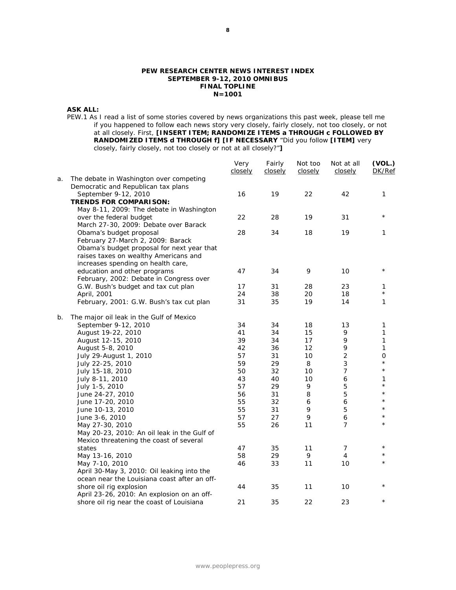#### **PEW RESEARCH CENTER NEWS INTEREST INDEX SEPTEMBER 9-12, 2010 OMNIBUS FINAL TOPLINE N=1001**

#### **ASK ALL:**

PEW.1 As I read a list of some stories covered by news organizations this past week, please tell me if you happened to follow each news story very closely, fairly closely, not too closely, or not at all closely. First, **[INSERT ITEM; RANDOMIZE ITEMS a THROUGH c FOLLOWED BY RANDOMIZED ITEMS d THROUGH f] [IF NECESSARY** "Did you follow **[ITEM]** very closely, fairly closely, not too closely or not at all closely?"**]**

|    |                                                                         | Very<br>closely | Fairly<br>closely | Not too<br>closely | Not at all<br>closely | (VOL.)<br>DK/Ref   |
|----|-------------------------------------------------------------------------|-----------------|-------------------|--------------------|-----------------------|--------------------|
| а. | The debate in Washington over competing                                 |                 |                   |                    |                       |                    |
|    | Democratic and Republican tax plans                                     |                 |                   |                    |                       |                    |
|    | September 9-12, 2010                                                    | 16              | 19                | 22                 | 42                    | 1                  |
|    | <b>TRENDS FOR COMPARISON:</b>                                           |                 |                   |                    |                       |                    |
|    | May 8-11, 2009: The debate in Washington                                |                 |                   |                    |                       |                    |
|    | over the federal budget                                                 | 22              | 28                | 19                 | 31                    | $\star$            |
|    | March 27-30, 2009: Debate over Barack                                   |                 |                   |                    |                       |                    |
|    | Obama's budget proposal                                                 | 28              | 34                | 18                 | 19                    | 1                  |
|    | February 27-March 2, 2009: Barack                                       |                 |                   |                    |                       |                    |
|    | Obama's budget proposal for next year that                              |                 |                   |                    |                       |                    |
|    | raises taxes on wealthy Americans and                                   |                 |                   |                    |                       |                    |
|    | increases spending on health care,                                      |                 |                   |                    |                       |                    |
|    | education and other programs                                            | 47              | 34                | 9                  | 10                    | $\star$            |
|    | February, 2002: Debate in Congress over                                 |                 |                   |                    |                       |                    |
|    | G.W. Bush's budget and tax cut plan                                     | 17              | 31                | 28                 | 23                    | 1                  |
|    | April, 2001                                                             | 24              | 38                | 20                 | 18                    | $^{\star}$         |
|    | February, 2001: G.W. Bush's tax cut plan                                | 31              | 35                | 19                 | 14                    | 1                  |
| b. | The major oil leak in the Gulf of Mexico                                |                 |                   |                    |                       |                    |
|    | September 9-12, 2010                                                    | 34              | 34                | 18                 | 13                    | 1                  |
|    | August 19-22, 2010                                                      | 41              | 34                | 15                 | 9                     | 1                  |
|    | August 12-15, 2010                                                      | 39              | 34                | 17                 | 9                     | 1                  |
|    | August 5-8, 2010                                                        | 42              | 36                | 12                 | 9                     | 1                  |
|    | July 29-August 1, 2010                                                  | 57              | 31                | 10                 | $\overline{2}$        | 0                  |
|    | July 22-25, 2010                                                        | 59              | 29                | 8                  | 3                     | $\star$<br>$\star$ |
|    | July 15-18, 2010                                                        | 50              | 32                | 10                 | $\overline{7}$        |                    |
|    | July 8-11, 2010                                                         | 43              | 40                | 10                 | 6                     | 1<br>$\star$       |
|    | July 1-5, 2010                                                          | 57              | 29                | 9                  | 5                     | $\star$            |
|    | June 24-27, 2010                                                        | 56              | 31                | 8                  | 5                     | $\star$            |
|    | June 17-20, 2010                                                        | 55              | 32                | 6                  | 6                     | $\star$            |
|    | June 10-13, 2010                                                        | 55              | 31                | 9<br>9             | 5                     | $\star$            |
|    | June 3-6, 2010                                                          | 57              | 27                |                    | 6                     | $\star$            |
|    | May 27-30, 2010                                                         | 55              | 26                | 11                 | 7                     |                    |
|    | May 20-23, 2010: An oil leak in the Gulf of                             |                 |                   |                    |                       |                    |
|    | Mexico threatening the coast of several                                 |                 |                   |                    |                       | $\star$            |
|    | states                                                                  | 47<br>58        | 35<br>29          | 11<br>9            | $\overline{7}$<br>4   |                    |
|    | May 13-16, 2010                                                         |                 |                   |                    | 10                    | $^\star$           |
|    | May 7-10, 2010                                                          | 46              | 33                | 11                 |                       |                    |
|    | April 30-May 3, 2010: Oil leaking into the                              |                 |                   |                    |                       |                    |
|    | ocean near the Louisiana coast after an off-<br>shore oil rig explosion | 44              | 35                | 11                 | 10                    | $\star$            |
|    | April 23-26, 2010: An explosion on an off-                              |                 |                   |                    |                       |                    |
|    | shore oil rig near the coast of Louisiana                               | 21              | 35                | 22                 | 23                    | $\star$            |
|    |                                                                         |                 |                   |                    |                       |                    |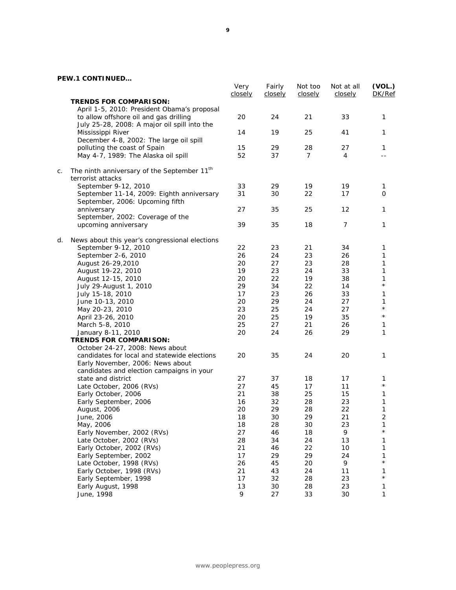|    |                                                                                                                                       | Very<br>closely | Fairly<br>closely | Not too<br>closely | Not at all<br>closely | (VOL.)<br>DK/Ref |
|----|---------------------------------------------------------------------------------------------------------------------------------------|-----------------|-------------------|--------------------|-----------------------|------------------|
|    | <b>TRENDS FOR COMPARISON:</b>                                                                                                         |                 |                   |                    |                       |                  |
|    | April 1-5, 2010: President Obama's proposal<br>to allow offshore oil and gas drilling<br>July 25-28, 2008: A major oil spill into the | 20              | 24                | 21                 | 33                    | 1                |
|    | Mississippi River<br>December 4-8, 2002: The large oil spill                                                                          | 14              | 19                | 25                 | 41                    | 1                |
|    | polluting the coast of Spain                                                                                                          | 15              | 29                | 28                 | 27                    | 1                |
|    | May 4-7, 1989: The Alaska oil spill                                                                                                   | 52              | 37                | 7                  | 4                     | $-$              |
|    |                                                                                                                                       |                 |                   |                    |                       |                  |
| C. | The ninth anniversary of the September 11 <sup>th</sup><br>terrorist attacks                                                          |                 |                   |                    |                       |                  |
|    | September 9-12, 2010                                                                                                                  | 33              | 29                | 19                 | 19                    | 1                |
|    | September 11-14, 2009: Eighth anniversary                                                                                             | 31              | 30                | 22                 | 17                    | 0                |
|    | September, 2006: Upcoming fifth                                                                                                       |                 |                   |                    |                       |                  |
|    | anniversary                                                                                                                           | 27              | 35                | 25                 | 12                    | 1                |
|    | September, 2002: Coverage of the                                                                                                      |                 |                   |                    |                       |                  |
|    | upcoming anniversary                                                                                                                  | 39              | 35                | 18                 | $\overline{7}$        | 1                |
|    |                                                                                                                                       |                 |                   |                    |                       |                  |
| d. | News about this year's congressional elections                                                                                        |                 |                   |                    |                       |                  |
|    | September 9-12, 2010                                                                                                                  | 22              | 23                | 21                 | 34                    | 1                |
|    | September 2-6, 2010                                                                                                                   | 26              | 24                | 23                 | 26                    | 1                |
|    | August 26-29, 2010                                                                                                                    | 20              | 27                | 23                 | 28                    | 1                |
|    | August 19-22, 2010                                                                                                                    | 19              | 23                | 24                 | 33                    | 1                |
|    | August 12-15, 2010                                                                                                                    | 20              | 22                | 19                 | 38                    | 1                |
|    | July 29-August 1, 2010                                                                                                                | 29              | 34                | 22                 | 14                    | $\star$          |
|    | July 15-18, 2010                                                                                                                      | 17              | 23                | 26                 | 33                    | 1                |
|    | June 10-13, 2010                                                                                                                      | 20              | 29                | 24                 | 27                    | 1<br>$\star$     |
|    | May 20-23, 2010                                                                                                                       | 23              | 25                | 24                 | 27                    | $^\star$         |
|    | April 23-26, 2010                                                                                                                     | 20              | 25                | 19                 | 35                    |                  |
|    | March 5-8, 2010                                                                                                                       | 25              | 27                | 21                 | 26                    | 1                |
|    | January 8-11, 2010<br><b>TRENDS FOR COMPARISON:</b>                                                                                   | 20              | 24                | 26                 | 29                    | 1                |
|    | October 24-27, 2008: News about                                                                                                       |                 |                   |                    |                       |                  |
|    | candidates for local and statewide elections                                                                                          | 20              | 35                | 24                 | 20                    | 1                |
|    | Early November, 2006: News about                                                                                                      |                 |                   |                    |                       |                  |
|    | candidates and election campaigns in your                                                                                             |                 |                   |                    |                       |                  |
|    | state and district                                                                                                                    | 27              | 37                | 18                 | 17                    | 1                |
|    | Late October, 2006 (RVs)                                                                                                              | 27              | 45                | 17                 | 11                    | $^\star$         |
|    | Early October, 2006                                                                                                                   | 21              | 38                | 25                 | 15                    | 1                |
|    | Early September, 2006                                                                                                                 | 16              | 32                | 28                 | 23                    | 1                |
|    | August, 2006                                                                                                                          | 20              | 29                | 28                 | 22                    | 1                |
|    | June, 2006                                                                                                                            | 18              | 30                | 29                 | 21                    | $\mathfrak{D}$   |
|    | May, 2006                                                                                                                             | 18              | 28                | 30                 | 23                    | 1                |
|    | Early November, 2002 (RVs)                                                                                                            | 27              | 46                | 18                 | 9                     | $^\star$         |
|    | Late October, 2002 (RVs)                                                                                                              | 28              | 34                | 24                 | 13                    | 1                |
|    | Early October, 2002 (RVs)                                                                                                             | 21              | 46                | 22                 | 10                    | 1                |
|    | Early September, 2002                                                                                                                 | 17              | 29                | 29                 | 24                    | 1                |
|    | Late October, 1998 (RVs)                                                                                                              | 26              | 45                | 20                 | 9                     | $^\star$         |
|    | Early October, 1998 (RVs)                                                                                                             | 21              | 43                | 24                 | 11                    | 1                |
|    | Early September, 1998                                                                                                                 | 17              | 32                | 28                 | 23                    | $^\star$         |
|    | Early August, 1998                                                                                                                    | 13              | 30                | 28                 | 23                    | 1                |
|    | June, 1998                                                                                                                            | 9               | 27                | 33                 | 30                    | 1                |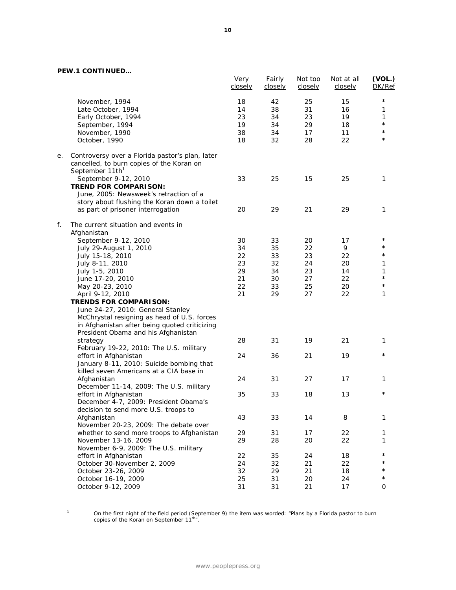**PEW.1 CONTINUED…** 

 $\overline{1}$ 

|    |                                                                                                                                                                                                           | Very<br>closely | Fairly<br>closely | Not too<br>closely | Not at all<br>closely | (VOL.)<br>DK/Ref      |
|----|-----------------------------------------------------------------------------------------------------------------------------------------------------------------------------------------------------------|-----------------|-------------------|--------------------|-----------------------|-----------------------|
|    | November, 1994<br>Late October, 1994                                                                                                                                                                      | 18<br>14        | 42<br>38          | 25<br>31           | 15<br>16              | $^\star$<br>1         |
|    | Early October, 1994                                                                                                                                                                                       | 23              | 34                | 23                 | 19                    | 1                     |
|    | September, 1994                                                                                                                                                                                           | 19              | 34                | 29                 | 18                    | $\star$               |
|    | November, 1990<br>October, 1990                                                                                                                                                                           | 38<br>18        | 34<br>32          | 17<br>28           | 11<br>22              | $\star$<br>$^{\star}$ |
| е. | Controversy over a Florida pastor's plan, later<br>cancelled, to burn copies of the Koran on<br>September 11th <sup>1</sup>                                                                               |                 |                   |                    |                       |                       |
|    | September 9-12, 2010                                                                                                                                                                                      | 33              | 25                | 15                 | 25                    | 1                     |
|    | <b>TREND FOR COMPARISON:</b><br>June, 2005: Newsweek's retraction of a<br>story about flushing the Koran down a toilet                                                                                    |                 |                   |                    |                       |                       |
|    | as part of prisoner interrogation                                                                                                                                                                         | 20              | 29                | 21                 | 29                    | 1                     |
| f. | The current situation and events in<br>Afghanistan                                                                                                                                                        |                 |                   |                    |                       |                       |
|    | September 9-12, 2010                                                                                                                                                                                      | 30              | 33                | 20                 | 17                    | $^\star$              |
|    | July 29-August 1, 2010                                                                                                                                                                                    | 34              | 35                | 22                 | 9                     |                       |
|    | July 15-18, 2010                                                                                                                                                                                          | 22              | 33                | 23                 | 22                    | $^\star$              |
|    | July 8-11, 2010                                                                                                                                                                                           | 23              | 32                | 24                 | 20                    | 1                     |
|    | July 1-5, 2010                                                                                                                                                                                            | 29              | 34                | 23                 | 14                    | 1                     |
|    | June 17-20, 2010                                                                                                                                                                                          | 21              | 30                | 27                 | 22                    | $\star$               |
|    | May 20-23, 2010                                                                                                                                                                                           | 22              | 33                | 25                 | 20                    | $^\star$              |
|    | April 9-12, 2010                                                                                                                                                                                          | 21              | 29                | 27                 | 22                    | 1                     |
|    | <b>TRENDS FOR COMPARISON:</b><br>June 24-27, 2010: General Stanley<br>McChrystal resigning as head of U.S. forces<br>in Afghanistan after being quoted criticizing<br>President Obama and his Afghanistan |                 |                   |                    |                       |                       |
|    | strategy<br>February 19-22, 2010: The U.S. military                                                                                                                                                       | 28              | 31                | 19                 | 21                    | 1                     |
|    | effort in Afghanistan<br>January 8-11, 2010: Suicide bombing that<br>killed seven Americans at a CIA base in                                                                                              | 24              | 36                | 21                 | 19                    | $^\star$              |
|    | Afghanistan<br>December 11-14, 2009: The U.S. military                                                                                                                                                    | 24              | 31                | 27                 | 17                    | 1                     |
|    | effort in Afghanistan<br>December 4-7, 2009: President Obama's<br>decision to send more U.S. troops to                                                                                                    | 35              | 33                | 18                 | 13                    | $\star$               |
|    | Afghanistan<br>November 20-23, 2009: The debate over                                                                                                                                                      | 43              | 33                | 14                 | 8                     | 1                     |
|    | whether to send more troops to Afghanistan                                                                                                                                                                | 29              | 31                | 17                 | 22                    | 1                     |
|    | November 13-16, 2009                                                                                                                                                                                      | 29              | 28                | 20                 | 22                    | 1                     |
|    | November 6-9, 2009: The U.S. military                                                                                                                                                                     |                 |                   |                    |                       |                       |
|    | effort in Afghanistan                                                                                                                                                                                     | 22              | 35                | 24                 | 18                    | $^\star$              |
|    | October 30-November 2, 2009                                                                                                                                                                               | 24              | 32                | 21                 | 22                    |                       |
|    | October 23-26, 2009                                                                                                                                                                                       | 32              | 29                | 21                 | 18                    | $\star$               |
|    | October 16-19, 2009                                                                                                                                                                                       | 25              | 31                | 20                 | 24                    | $^\star$              |
|    | October 9-12, 2009                                                                                                                                                                                        | 31              | 31                | 21                 | 17                    | 0                     |
|    |                                                                                                                                                                                                           |                 |                   |                    |                       |                       |

On the first night of the field period (September 9) the item was worded: "Plans by a Florida pastor to burn<br>copies of the Koran on September 11<sup>th</sup>".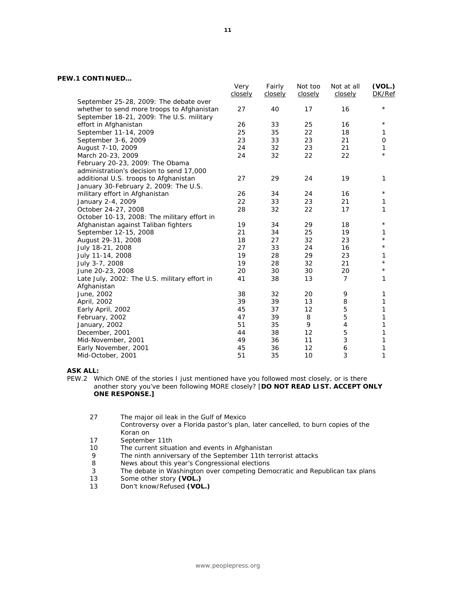#### **PEW.1 CONTINUED…**

|    |                 |                   |                    | (VOL.)<br>DK/Ref           |
|----|-----------------|-------------------|--------------------|----------------------------|
|    |                 |                   |                    |                            |
| 27 | 40              | 17                | 16                 | $^\star$                   |
|    |                 |                   |                    |                            |
| 26 | 33              | 25                | 16                 | $^\star$                   |
| 25 | 35              | 22                | 18                 | 1                          |
| 23 | 33              | 23                | 21                 | 0                          |
| 24 | 32              | 23                | 21                 | 1                          |
| 24 | 32              | 22                | 22                 | $^{\star}$                 |
|    |                 |                   |                    |                            |
|    |                 |                   |                    |                            |
| 27 | 29              | 24                | 19                 | 1                          |
|    |                 |                   |                    |                            |
| 26 | 34              | 24                | 16                 | $^\star$                   |
| 22 | 33              | 23                | 21                 | 1                          |
| 28 | 32              | 22                | 17                 | 1                          |
|    |                 |                   |                    |                            |
| 19 | 34              | 29                | 18                 | $^\star$                   |
| 21 | 34              | 25                | 19                 | 1                          |
| 18 | 27              | 32                | 23                 | $^\star$                   |
| 27 | 33              | 24                | 16                 | $^\star$                   |
| 19 | 28              | 29                | 23                 | 1                          |
| 19 | 28              | 32                | 21                 | $^\star$                   |
| 20 | 30              | 30                | 20                 | $\star$                    |
| 41 | 38              | 13                | $\overline{7}$     | 1                          |
|    |                 |                   |                    |                            |
| 38 | 32              | 20                | 9                  | 1                          |
| 39 | 39              | 13                | 8                  | 1                          |
| 45 | 37              | 12                | 5                  | 1                          |
| 47 | 39              | 8                 |                    | 1                          |
| 51 | 35              | 9                 | 4                  | 1                          |
| 44 | 38              | 12                | 5                  | 1                          |
| 49 | 36              | 11                | 3                  | 1                          |
| 45 | 36              | 12                | 6                  | 1                          |
| 51 | 35              | 10                | 3                  | 1                          |
|    | Very<br>closely | Fairly<br>closely | Not too<br>closely | Not at all<br>closely<br>5 |

#### **ASK ALL:**

PEW.2 Which ONE of the stories I just mentioned have you followed most closely, or is there another story you've been following MORE closely? [**DO NOT READ LIST. ACCEPT ONLY ONE RESPONSE.]** 

| 27  | The major oil leak in the Gulf of Mexico                                         |
|-----|----------------------------------------------------------------------------------|
|     | Controversy over a Florida pastor's plan, later cancelled, to burn copies of the |
|     | Koran on                                                                         |
| 17  | September 11th                                                                   |
| 1 O | The current offiction and overto in Afabonistan                                  |

- 10 The current situation and events in Afghanistan
- 9 The ninth anniversary of the September 11th terrorist attacks<br>8 News about this year's Congressional elections
- 
- 8 News about this year's Congressional elections<br>3 The debate in Washington over competing Dem 3 The debate in Washington over competing Democratic and Republican tax plans<br>13 Some other story (VOL.)
- Some other story (VOL.)
- 13 Don't know/Refused **(VOL.)**